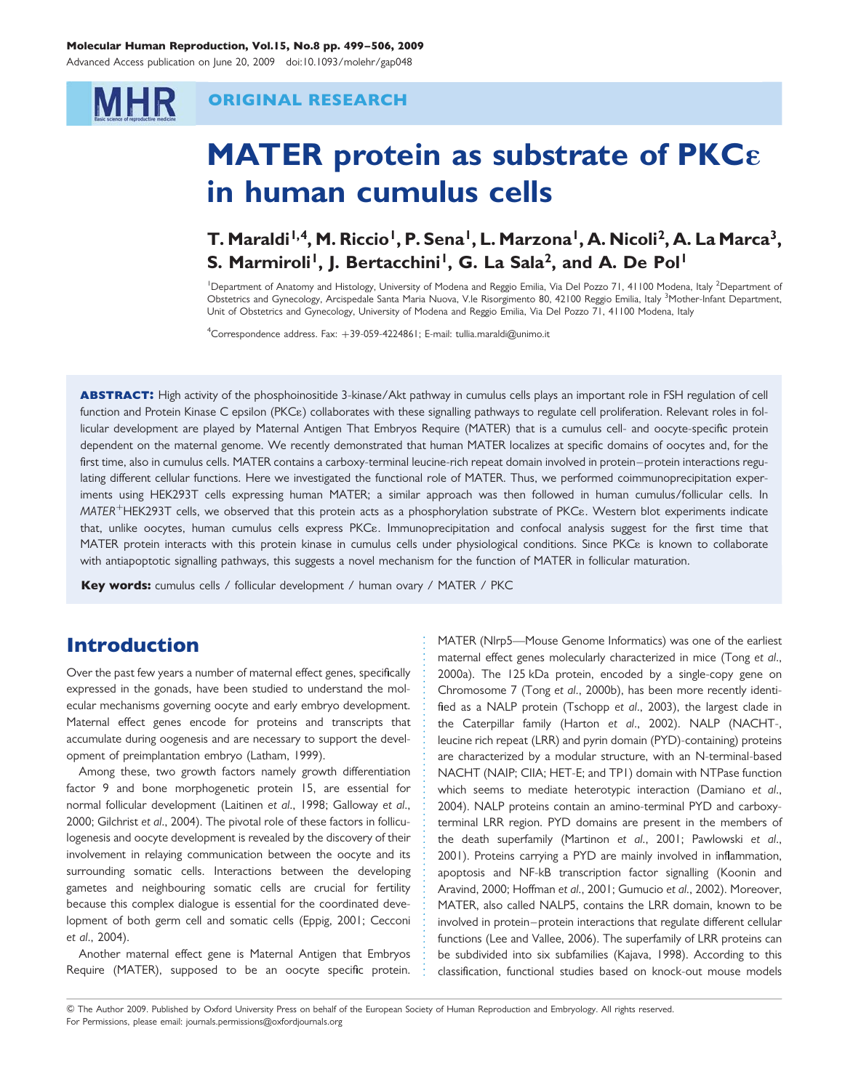## Molecular Human Reproduction, Vol.15, No.8 pp. 499–506, 2009

Advanced Access publication on June 20, 2009 doi:10.1093/molehr/gap048

## ORIGINAL RESEARCH

# MATER protein as substrate of PKC $\epsilon$ in human cumulus cells

# T. Maraldi<sup>1,4</sup>, M. Riccio<sup>1</sup>, P. Sena<sup>1</sup>, L. Marzona<sup>1</sup>, A. Nicoli<sup>2</sup>, A. La Marca<sup>3</sup>, S. Marmiroli<sup>1</sup>, J. Bertacchini<sup>1</sup>, G. La Sala<sup>2</sup>, and A. De Pol<sup>1</sup>

<sup>1</sup> Department of Anatomy and Histology, University of Modena and Reggio Emilia, Via Del Pozzo 71, 41100 Modena, Italy <sup>2</sup>Department of Obstetrics and Gynecology, Arcispedale Santa Maria Nuova, V.le Risorgimento 80, 42100 Reggio Emilia, Italy <sup>3</sup>Mother-Infant Department, Unit of Obstetrics and Gynecology, University of Modena and Reggio Emilia, Via Del Pozzo 71, 41100 Modena, Italy

<sup>4</sup>Correspondence address. Fax: +39-059-4224861; E-mail: tullia.maraldi@unimo.it

ABSTRACT: High activity of the phosphoinositide 3-kinase/Akt pathway in cumulus cells plays an important role in FSH regulation of cell function and Protein Kinase C epsilon (PKC $\varepsilon$ ) collaborates with these signalling pathways to regulate cell proliferation. Relevant roles in follicular development are played by Maternal Antigen That Embryos Require (MATER) that is a cumulus cell- and oocyte-specific protein dependent on the maternal genome. We recently demonstrated that human MATER localizes at specific domains of oocytes and, for the first time, also in cumulus cells. MATER contains a carboxy-terminal leucine-rich repeat domain involved in protein-protein interactions regulating different cellular functions. Here we investigated the functional role of MATER. Thus, we performed coimmunoprecipitation experiments using HEK293T cells expressing human MATER; a similar approach was then followed in human cumulus/follicular cells. In MATER<sup>+</sup>HEK293T cells, we observed that this protein acts as a phosphorylation substrate of PKCe. Western blot experiments indicate that, unlike oocytes, human cumulus cells express PKCE. Immunoprecipitation and confocal analysis suggest for the first time that MATER protein interacts with this protein kinase in cumulus cells under physiological conditions. Since PKC<sub>8</sub> is known to collaborate with antiapoptotic signalling pathways, this suggests a novel mechanism for the function of MATER in follicular maturation.

Key words: cumulus cells / follicular development / human ovary / MATER / PKC

# Introduction

**MHR** 

Over the past few years a number of maternal effect genes, specifically expressed in the gonads, have been studied to understand the molecular mechanisms governing oocyte and early embryo development. Maternal effect genes encode for proteins and transcripts that accumulate during oogenesis and are necessary to support the development of preimplantation embryo (Latham, 1999).

Among these, two growth factors namely growth differentiation factor 9 and bone morphogenetic protein 15, are essential for normal follicular development (Laitinen et al., 1998; Galloway et al., 2000; Gilchrist et al., 2004). The pivotal role of these factors in folliculogenesis and oocyte development is revealed by the discovery of their involvement in relaying communication between the oocyte and its surrounding somatic cells. Interactions between the developing gametes and neighbouring somatic cells are crucial for fertility because this complex dialogue is essential for the coordinated development of both germ cell and somatic cells (Eppig, 2001; Cecconi et al., 2004).

Another maternal effect gene is Maternal Antigen that Embryos Require (MATER), supposed to be an oocyte specific protein. MATER (Nlrp5—Mouse Genome Informatics) was one of the earliest maternal effect genes molecularly characterized in mice (Tong et al., 2000a). The 125 kDa protein, encoded by a single-copy gene on Chromosome 7 (Tong et al., 2000b), has been more recently identified as a NALP protein (Tschopp et al., 2003), the largest clade in the Caterpillar family (Harton et al., 2002). NALP (NACHT-, leucine rich repeat (LRR) and pyrin domain (PYD)-containing) proteins are characterized by a modular structure, with an N-terminal-based NACHT (NAIP; CIIA; HET-E; and TP1) domain with NTPase function which seems to mediate heterotypic interaction (Damiano et al., 2004). NALP proteins contain an amino-terminal PYD and carboxyterminal LRR region. PYD domains are present in the members of the death superfamily (Martinon et al., 2001; Pawlowski et al., 2001). Proteins carrying a PYD are mainly involved in inflammation, apoptosis and NF-kB transcription factor signalling (Koonin and Aravind, 2000; Hoffman et al., 2001; Gumucio et al., 2002). Moreover, MATER, also called NALP5, contains the LRR domain, known to be involved in protein– protein interactions that regulate different cellular functions (Lee and Vallee, 2006). The superfamily of LRR proteins can be subdivided into six subfamilies (Kajava, 1998). According to this classification, functional studies based on knock-out mouse models

& The Author 2009. Published by Oxford University Press on behalf of the European Society of Human Reproduction and Embryology. All rights reserved. For Permissions, please email: journals.permissions@oxfordjournals.org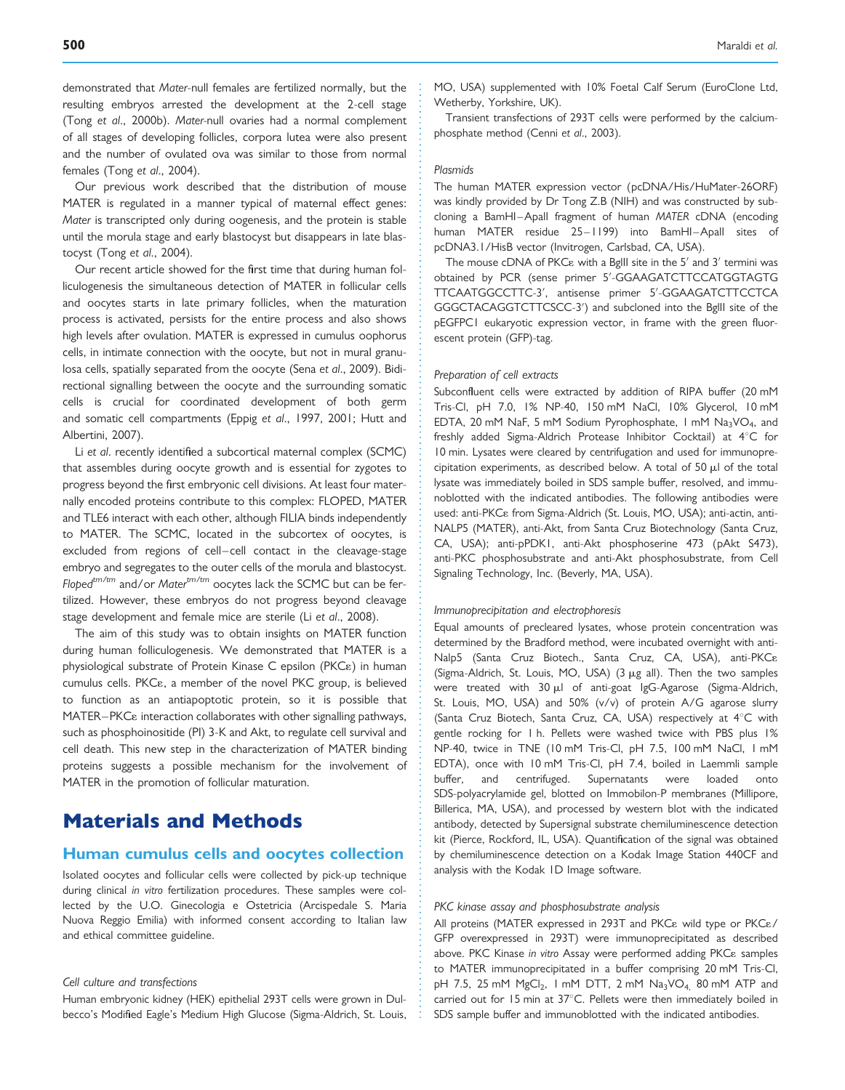demonstrated that Mater-null females are fertilized normally, but the resulting embryos arrested the development at the 2-cell stage (Tong et al., 2000b). Mater-null ovaries had a normal complement of all stages of developing follicles, corpora lutea were also present and the number of ovulated ova was similar to those from normal females (Tong et al., 2004).

Our previous work described that the distribution of mouse MATER is regulated in a manner typical of maternal effect genes: Mater is transcripted only during oogenesis, and the protein is stable until the morula stage and early blastocyst but disappears in late blastocyst (Tong et al., 2004).

Our recent article showed for the first time that during human folliculogenesis the simultaneous detection of MATER in follicular cells and oocytes starts in late primary follicles, when the maturation process is activated, persists for the entire process and also shows high levels after ovulation. MATER is expressed in cumulus oophorus cells, in intimate connection with the oocyte, but not in mural granulosa cells, spatially separated from the oocyte (Sena et al., 2009). Bidirectional signalling between the oocyte and the surrounding somatic cells is crucial for coordinated development of both germ and somatic cell compartments (Eppig et al., 1997, 2001; Hutt and Albertini, 2007).

Li et al. recently identified a subcortical maternal complex (SCMC) that assembles during oocyte growth and is essential for zygotes to progress beyond the first embryonic cell divisions. At least four maternally encoded proteins contribute to this complex: FLOPED, MATER and TLE6 interact with each other, although FILIA binds independently to MATER. The SCMC, located in the subcortex of oocytes, is excluded from regions of cell-cell contact in the cleavage-stage embryo and segregates to the outer cells of the morula and blastocyst. Floped $t^{m/tm}$  and/or Mater $t^{m/tm}$  oocytes lack the SCMC but can be fertilized. However, these embryos do not progress beyond cleavage stage development and female mice are sterile (Li et al., 2008).

The aim of this study was to obtain insights on MATER function during human folliculogenesis. We demonstrated that MATER is a physiological substrate of Protein Kinase C epsilon (PKC<sub>8</sub>) in human cumulus cells. PKC<sub>8</sub>, a member of the novel PKC group, is believed to function as an antiapoptotic protein, so it is possible that  $MATER-PKC\epsilon$  interaction collaborates with other signalling pathways, such as phosphoinositide (PI) 3-K and Akt, to regulate cell survival and cell death. This new step in the characterization of MATER binding proteins suggests a possible mechanism for the involvement of MATER in the promotion of follicular maturation.

# Materials and Methods

## Human cumulus cells and oocytes collection

Isolated oocytes and follicular cells were collected by pick-up technique during clinical in vitro fertilization procedures. These samples were collected by the U.O. Ginecologia e Ostetricia (Arcispedale S. Maria Nuova Reggio Emilia) with informed consent according to Italian law and ethical committee guideline.

## Cell culture and transfections

Human embryonic kidney (HEK) epithelial 293T cells were grown in Dulbecco's Modified Eagle's Medium High Glucose (Sigma-Aldrich, St. Louis, MO, USA) supplemented with 10% Foetal Calf Serum (EuroClone Ltd, Wetherby, Yorkshire, UK).

Transient transfections of 293T cells were performed by the calciumphosphate method (Cenni et al., 2003).

#### **Plasmids**

The human MATER expression vector (pcDNA/His/HuMater-26ORF) was kindly provided by Dr Tong Z.B (NIH) and was constructed by subcloning a BamHI-Apall fragment of human MATER cDNA (encoding human MATER residue 25-1199) into BamHI-Apall sites of pcDNA3.1/HisB vector (Invitrogen, Carlsbad, CA, USA).

The mouse cDNA of PKC $\varepsilon$  with a BgllI site in the 5' and 3' termini was obtained by PCR (sense primer 5'-GGAAGATCTTCCATGGTAGTG TTCAATGGCCTTC-3', antisense primer 5'-GGAAGATCTTCCTCA GGGCTACAGGTCTTCSCC-3') and subcloned into the Bglll site of the pEGFPC1 eukaryotic expression vector, in frame with the green fluorescent protein (GFP)-tag.

#### Preparation of cell extracts

Subconfluent cells were extracted by addition of RIPA buffer (20 mM Tris-Cl, pH 7.0, 1% NP-40, 150 mM NaCl, 10% Glycerol, 10 mM EDTA, 20 mM NaF, 5 mM Sodium Pyrophosphate, 1 mM Na<sub>3</sub>VO<sub>4</sub>, and freshly added Sigma-Aldrich Protease Inhibitor Cocktail) at  $4^{\circ}$ C for 10 min. Lysates were cleared by centrifugation and used for immunoprecipitation experiments, as described below. A total of 50  $\mu$ l of the total lysate was immediately boiled in SDS sample buffer, resolved, and immunoblotted with the indicated antibodies. The following antibodies were used: anti-PKC<sub>8</sub> from Sigma-Aldrich (St. Louis, MO, USA); anti-actin, anti-NALP5 (MATER), anti-Akt, from Santa Cruz Biotechnology (Santa Cruz, CA, USA); anti-pPDK1, anti-Akt phosphoserine 473 (pAkt S473), anti-PKC phosphosubstrate and anti-Akt phosphosubstrate, from Cell Signaling Technology, Inc. (Beverly, MA, USA).

### Immunoprecipitation and electrophoresis

Equal amounts of precleared lysates, whose protein concentration was determined by the Bradford method, were incubated overnight with anti-Nalp5 (Santa Cruz Biotech., Santa Cruz, CA, USA), anti-PKCε (Sigma-Aldrich, St. Louis, MO, USA) (3 mg all). Then the two samples were treated with  $30 \mu l$  of anti-goat IgG-Agarose (Sigma-Aldrich, St. Louis, MO, USA) and 50% (v/v) of protein A/G agarose slurry (Santa Cruz Biotech, Santa Cruz, CA, USA) respectively at  $4^{\circ}$ C with gentle rocking for 1 h. Pellets were washed twice with PBS plus 1% NP-40, twice in TNE (10 mM Tris-Cl, pH 7.5, 100 mM NaCl, 1 mM EDTA), once with 10 mM Tris-Cl, pH 7.4, boiled in Laemmli sample buffer, and centrifuged. Supernatants were loaded onto SDS-polyacrylamide gel, blotted on Immobilon-P membranes (Millipore, Billerica, MA, USA), and processed by western blot with the indicated antibody, detected by Supersignal substrate chemiluminescence detection kit (Pierce, Rockford, IL, USA). Quantification of the signal was obtained by chemiluminescence detection on a Kodak Image Station 440CF and analysis with the Kodak 1D Image software.

### PKC kinase assay and phosphosubstrate analysis

All proteins (MATER expressed in 293T and PKC<sub>8</sub> wild type or PKC<sub>8</sub>/ GFP overexpressed in 293T) were immunoprecipitated as described above. PKC Kinase in vitro Assay were performed adding PKC<sub>8</sub> samples to MATER immunoprecipitated in a buffer comprising 20 mM Tris-Cl, pH 7.5, 25 mM  $MgCl<sub>2</sub>$ , 1 mM DTT, 2 mM  $Na<sub>3</sub>VO<sub>4</sub>$ , 80 mM ATP and carried out for 15 min at 37°C. Pellets were then immediately boiled in SDS sample buffer and immunoblotted with the indicated antibodies.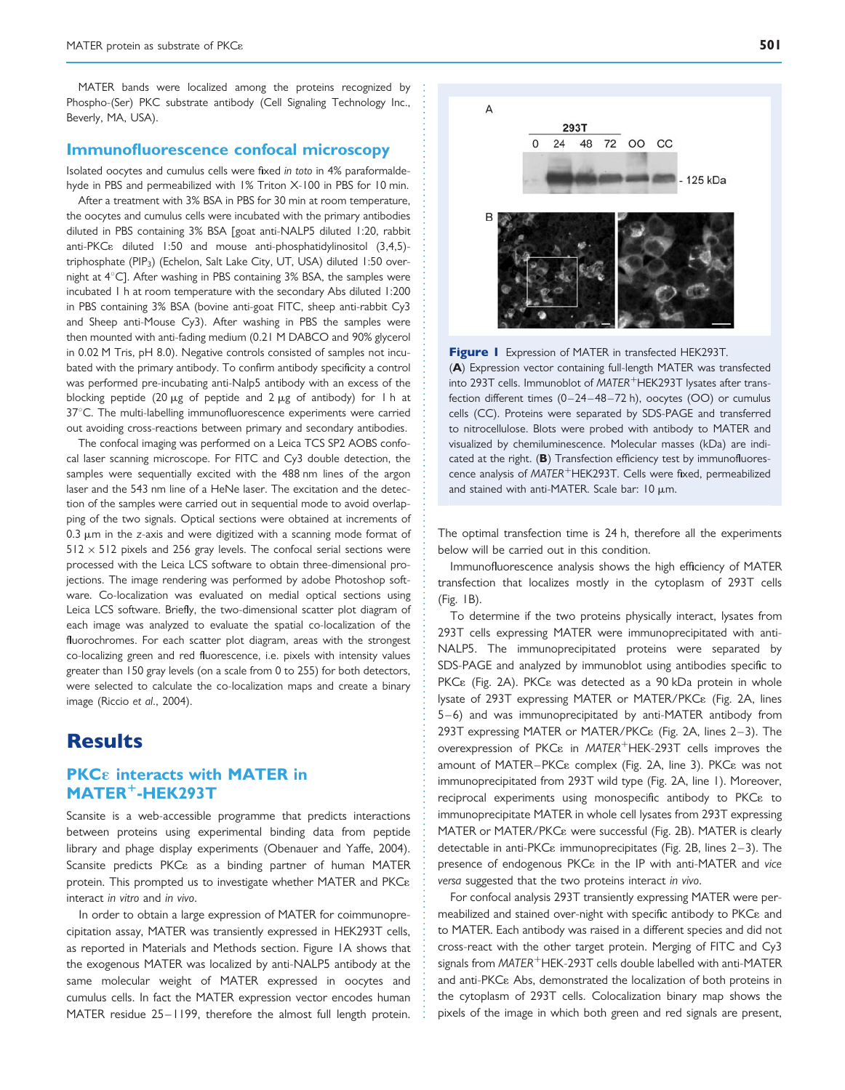MATER bands were localized among the proteins recognized by Phospho-(Ser) PKC substrate antibody (Cell Signaling Technology Inc., Beverly, MA, USA).

## Immunofluorescence confocal microscopy

Isolated oocytes and cumulus cells were fixed in toto in 4% paraformaldehyde in PBS and permeabilized with 1% Triton X-100 in PBS for 10 min.

After a treatment with 3% BSA in PBS for 30 min at room temperature, the oocytes and cumulus cells were incubated with the primary antibodies diluted in PBS containing 3% BSA [goat anti-NALP5 diluted 1:20, rabbit anti-PKC<sub>8</sub> diluted 1:50 and mouse anti-phosphatidylinositol (3,4,5)triphosphate (PIP<sub>3</sub>) (Echelon, Salt Lake City, UT, USA) diluted 1:50 overnight at  $4^{\circ}$ C]. After washing in PBS containing 3% BSA, the samples were incubated 1 h at room temperature with the secondary Abs diluted 1:200 in PBS containing 3% BSA (bovine anti-goat FITC, sheep anti-rabbit Cy3 and Sheep anti-Mouse Cy3). After washing in PBS the samples were then mounted with anti-fading medium (0.21 M DABCO and 90% glycerol in 0.02 M Tris, pH 8.0). Negative controls consisted of samples not incubated with the primary antibody. To confirm antibody specificity a control was performed pre-incubating anti-Nalp5 antibody with an excess of the blocking peptide (20  $\mu$ g of peptide and 2  $\mu$ g of antibody) for 1 h at 37°C. The multi-labelling immunofluorescence experiments were carried out avoiding cross-reactions between primary and secondary antibodies.

The confocal imaging was performed on a Leica TCS SP2 AOBS confocal laser scanning microscope. For FITC and Cy3 double detection, the samples were sequentially excited with the 488 nm lines of the argon laser and the 543 nm line of a HeNe laser. The excitation and the detection of the samples were carried out in sequential mode to avoid overlapping of the two signals. Optical sections were obtained at increments of  $0.3 \mu$ m in the z-axis and were digitized with a scanning mode format of  $512 \times 512$  pixels and 256 gray levels. The confocal serial sections were processed with the Leica LCS software to obtain three-dimensional projections. The image rendering was performed by adobe Photoshop software. Co-localization was evaluated on medial optical sections using Leica LCS software. Briefly, the two-dimensional scatter plot diagram of each image was analyzed to evaluate the spatial co-localization of the fluorochromes. For each scatter plot diagram, areas with the strongest co-localizing green and red fluorescence, i.e. pixels with intensity values greater than 150 gray levels (on a scale from 0 to 255) for both detectors, were selected to calculate the co-localization maps and create a binary image (Riccio et al., 2004).

## **Results**

## **PKCE** interacts with MATER in MATER<sup>+</sup>-HEK293T

Scansite is a web-accessible programme that predicts interactions between proteins using experimental binding data from peptide library and phage display experiments (Obenauer and Yaffe, 2004). Scansite predicts PKC<sub>8</sub> as a binding partner of human MATER protein. This prompted us to investigate whether MATER and PKC& interact in vitro and in vivo.

In order to obtain a large expression of MATER for coimmunoprecipitation assay, MATER was transiently expressed in HEK293T cells, as reported in Materials and Methods section. Figure 1A shows that the exogenous MATER was localized by anti-NALP5 antibody at the same molecular weight of MATER expressed in oocytes and cumulus cells. In fact the MATER expression vector encodes human MATER residue 25– 1199, therefore the almost full length protein.



Figure I Expression of MATER in transfected HEK293T.

(A) Expression vector containing full-length MATER was transfected into 293T cells. Immunoblot of MATER<sup>+</sup>HEK293T lysates after transfection different times (0 –24 – 48 – 72 h), oocytes (OO) or cumulus cells (CC). Proteins were separated by SDS-PAGE and transferred to nitrocellulose. Blots were probed with antibody to MATER and visualized by chemiluminescence. Molecular masses (kDa) are indicated at the right. (B) Transfection efficiency test by immunofluorescence analysis of MATER<sup>+</sup>HEK293T. Cells were fixed, permeabilized and stained with anti-MATER. Scale bar:  $10 \mu m$ .

The optimal transfection time is 24 h, therefore all the experiments below will be carried out in this condition.

Immunofluorescence analysis shows the high efficiency of MATER transfection that localizes mostly in the cytoplasm of 293T cells (Fig. 1B).

To determine if the two proteins physically interact, lysates from 293T cells expressing MATER were immunoprecipitated with anti-NALP5. The immunoprecipitated proteins were separated by SDS-PAGE and analyzed by immunoblot using antibodies specific to PKC<sub>8</sub> (Fig. 2A). PKC<sub>8</sub> was detected as a 90 kDa protein in whole lysate of 293T expressing MATER or MATER/PKC& (Fig. 2A, lines 5–6) and was immunoprecipitated by anti-MATER antibody from 293T expressing MATER or MATER/PKC $\epsilon$  (Fig. 2A, lines 2–3). The overexpression of PKC $\epsilon$  in MATER<sup>+</sup>HEK-293T cells improves the amount of MATER-PKC<sub>8</sub> complex (Fig. 2A, line 3). PKC<sub>8</sub> was not immunoprecipitated from 293T wild type (Fig. 2A, line 1). Moreover, reciprocal experiments using monospecific antibody to PKC<sub>8</sub> to immunoprecipitate MATER in whole cell lysates from 293T expressing MATER or MATER/PKC<sub>8</sub> were successful (Fig. 2B). MATER is clearly detectable in anti-PKC $\varepsilon$  immunoprecipitates (Fig. 2B, lines 2–3). The presence of endogenous PKC<sub>8</sub> in the IP with anti-MATER and vice versa suggested that the two proteins interact in vivo.

For confocal analysis 293T transiently expressing MATER were permeabilized and stained over-night with specific antibody to PKC<sub>8</sub> and to MATER. Each antibody was raised in a different species and did not cross-react with the other target protein. Merging of FITC and Cy3 signals from  $MATER$ <sup>+</sup>HEK-293T cells double labelled with anti-MATER and anti-PKC<sub>8</sub> Abs, demonstrated the localization of both proteins in the cytoplasm of 293T cells. Colocalization binary map shows the pixels of the image in which both green and red signals are present,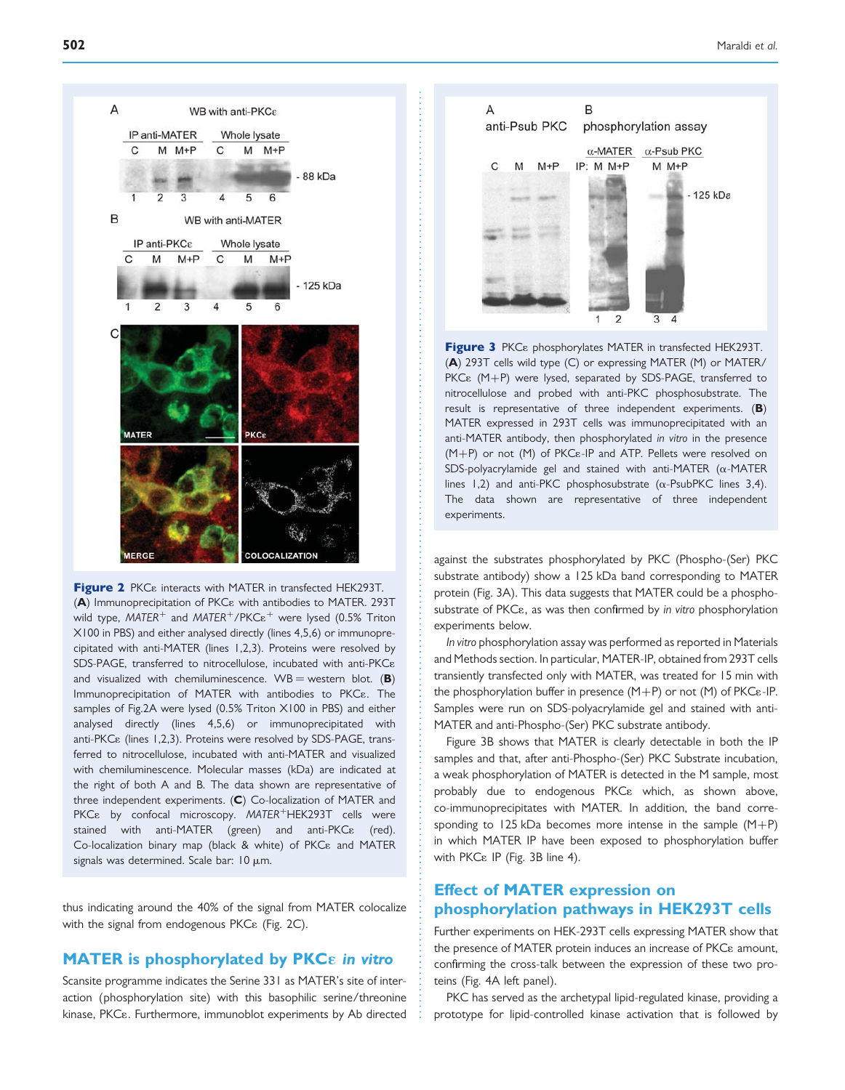

Figure 2 PKC<sub>8</sub> interacts with MATER in transfected HEK293T.  $(A)$  Immunoprecipitation of PKC $\varepsilon$  with antibodies to MATER. 293T wild type,  $MATER^{+}$  and  $MATER^{+}/PKCe^{+}$  were lysed (0.5% Triton X100 in PBS) and either analysed directly (lines 4,5,6) or immunoprecipitated with anti-MATER (lines 1,2,3). Proteins were resolved by SDS-PAGE, transferred to nitrocellulose, incubated with anti-PKC& and visualized with chemiluminescence.  $WB =$  western blot. (B) Immunoprecipitation of MATER with antibodies to PKC<sub>8</sub>. The samples of Fig.2A were lysed (0.5% Triton X100 in PBS) and either analysed directly (lines 4,5,6) or immunoprecipitated with anti-PKC<sub>8</sub> (lines 1,2,3). Proteins were resolved by SDS-PAGE, transferred to nitrocellulose, incubated with anti-MATER and visualized with chemiluminescence. Molecular masses (kDa) are indicated at the right of both A and B. The data shown are representative of three independent experiments. (C) Co-localization of MATER and  $PKC\epsilon$  by confocal microscopy. MATER<sup>+</sup>HEK293T cells were stained with anti-MATER (green) and anti-PKC<sub>8</sub> (red). Co-localization binary map (black & white) of PKC<sub>8</sub> and MATER signals was determined. Scale bar:  $10 \mu m$ .

thus indicating around the 40% of the signal from MATER colocalize with the signal from endogenous PKC<sub>8</sub> (Fig. 2C).

## MATER is phosphorylated by PKC $\epsilon$  in vitro

Scansite programme indicates the Serine 331 as MATER's site of interaction (phosphorylation site) with this basophilic serine/threonine kinase, PKC<sub>8</sub>. Furthermore, immunoblot experiments by Ab directed



Figure 3 PKC<sub>8</sub> phosphorylates MATER in transfected HEK293T. (A) 293T cells wild type (C) or expressing MATER (M) or MATER/  $PKC\epsilon$   $(M+P)$  were lysed, separated by SDS-PAGE, transferred to nitrocellulose and probed with anti-PKC phosphosubstrate. The result is representative of three independent experiments. (B) MATER expressed in 293T cells was immunoprecipitated with an anti-MATER antibody, then phosphorylated in vitro in the presence  $(M+P)$  or not  $(M)$  of PKC $\varepsilon$ -IP and ATP. Pellets were resolved on SDS-polyacrylamide gel and stained with anti-MATER  $(\alpha$ -MATER lines 1,2) and anti-PKC phosphosubstrate ( $\alpha$ -PsubPKC lines 3,4). The data shown are representative of three independent experiments.

against the substrates phosphorylated by PKC (Phospho-(Ser) PKC substrate antibody) show a 125 kDa band corresponding to MATER protein (Fig. 3A). This data suggests that MATER could be a phosphosubstrate of PKC<sub>8</sub>, as was then confirmed by in vitro phosphorylation experiments below.

In vitro phosphorylation assay was performed as reported in Materials and Methods section. In particular, MATER-IP, obtained from 293T cells transiently transfected only with MATER, was treated for 15 min with the phosphorylation buffer in presence  $(M+P)$  or not  $(M)$  of PKC $\varepsilon$ -IP. Samples were run on SDS-polyacrylamide gel and stained with anti-MATER and anti-Phospho-(Ser) PKC substrate antibody.

Figure 3B shows that MATER is clearly detectable in both the IP samples and that, after anti-Phospho-(Ser) PKC Substrate incubation, a weak phosphorylation of MATER is detected in the M sample, most probably due to endogenous PKC<sub>8</sub> which, as shown above, co-immunoprecipitates with MATER. In addition, the band corresponding to 125 kDa becomes more intense in the sample  $(M+P)$ in which MATER IP have been exposed to phosphorylation buffer with PKCε IP (Fig. 3B line 4).

## Effect of MATER expression on phosphorylation pathways in HEK293T cells

Further experiments on HEK-293T cells expressing MATER show that the presence of MATER protein induces an increase of PKC<sub>8</sub> amount, confirming the cross-talk between the expression of these two proteins (Fig. 4A left panel).

PKC has served as the archetypal lipid-regulated kinase, providing a prototype for lipid-controlled kinase activation that is followed by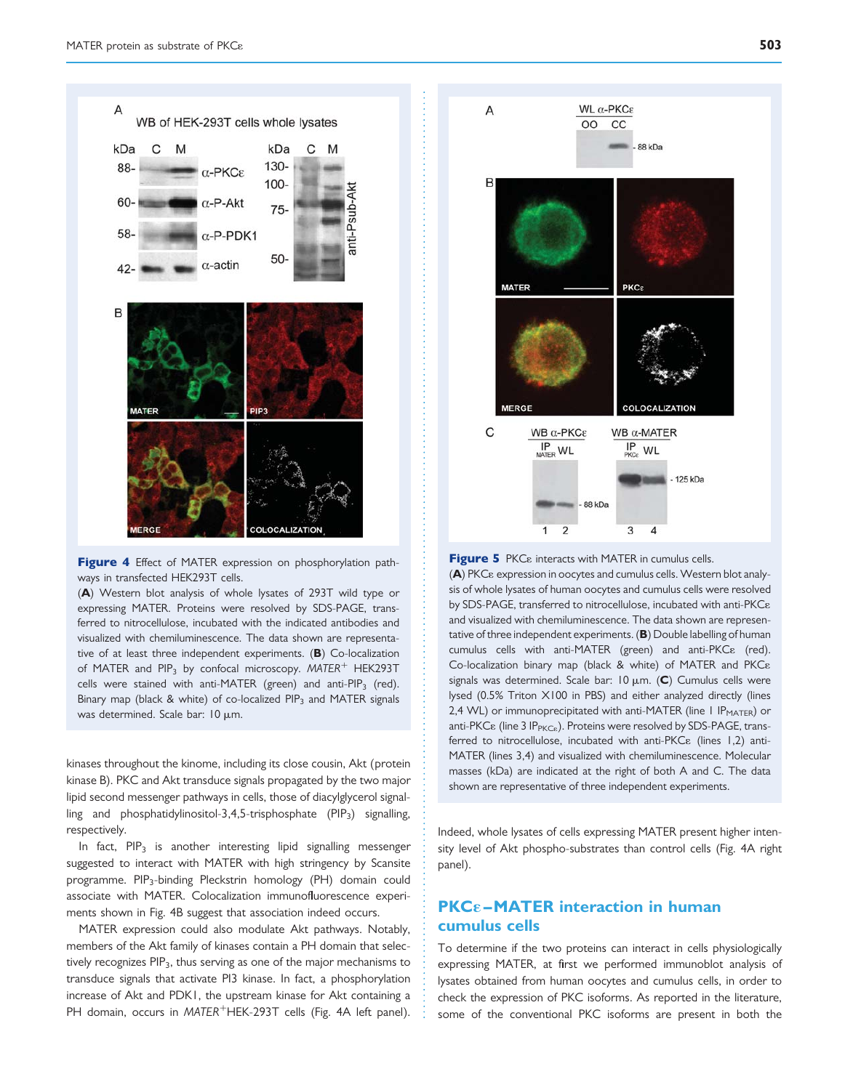

Figure 4 Effect of MATER expression on phosphorylation pathways in transfected HEK293T cells.

(A) Western blot analysis of whole lysates of 293T wild type or expressing MATER. Proteins were resolved by SDS-PAGE, transferred to nitrocellulose, incubated with the indicated antibodies and visualized with chemiluminescence. The data shown are representative of at least three independent experiments. (B) Co-localization of MATER and PIP<sub>3</sub> by confocal microscopy. MATER<sup>+</sup> HEK293T cells were stained with anti-MATER (green) and anti-PIP<sub>3</sub> (red). Binary map (black & white) of co-localized PIP<sub>3</sub> and MATER signals was determined. Scale bar:  $10 \mu m$ .

kinases throughout the kinome, including its close cousin, Akt (protein kinase B). PKC and Akt transduce signals propagated by the two major lipid second messenger pathways in cells, those of diacylglycerol signalling and phosphatidylinositol-3,4,5-trisphosphate  $(PIP_3)$  signalling, respectively.

In fact,  $PIP_3$  is another interesting lipid signalling messenger suggested to interact with MATER with high stringency by Scansite programme. PIP3-binding Pleckstrin homology (PH) domain could associate with MATER. Colocalization immunofluorescence experiments shown in Fig. 4B suggest that association indeed occurs.

MATER expression could also modulate Akt pathways. Notably, members of the Akt family of kinases contain a PH domain that selectively recognizes  $PIP_3$ , thus serving as one of the major mechanisms to transduce signals that activate PI3 kinase. In fact, a phosphorylation increase of Akt and PDK1, the upstream kinase for Akt containing a PH domain, occurs in MATER<sup>+</sup>HEK-293T cells (Fig. 4A left panel).



Figure 5 PKC<sub>8</sub> interacts with MATER in cumulus cells.  $(A)$  PKC $\varepsilon$  expression in oocytes and cumulus cells. Western blot analysis of whole lysates of human oocytes and cumulus cells were resolved by SDS-PAGE, transferred to nitrocellulose, incubated with anti-PKC& and visualized with chemiluminescence. The data shown are representative of three independent experiments. (B) Double labelling of human cumulus cells with anti-MATER (green) and anti-PKC<sub>8</sub> (red). Co-localization binary map (black & white) of MATER and PKCε signals was determined. Scale bar:  $10 \mu m$ . (C) Cumulus cells were lysed (0.5% Triton X100 in PBS) and either analyzed directly (lines 2,4 WL) or immunoprecipitated with anti-MATER (line  $1$  IP<sub>MATER</sub>) or anti-PKC $\epsilon$  (line 3 IP<sub>PKC $\epsilon$ </sub>). Proteins were resolved by SDS-PAGE, transferred to nitrocellulose, incubated with anti-PKC<sub>8</sub> (lines 1,2) anti-MATER (lines 3,4) and visualized with chemiluminescence. Molecular masses (kDa) are indicated at the right of both A and C. The data shown are representative of three independent experiments.

Indeed, whole lysates of cells expressing MATER present higher intensity level of Akt phospho-substrates than control cells (Fig. 4A right panel).

## $PKCE-MATER$  interaction in human cumulus cells

To determine if the two proteins can interact in cells physiologically expressing MATER, at first we performed immunoblot analysis of lysates obtained from human oocytes and cumulus cells, in order to check the expression of PKC isoforms. As reported in the literature, some of the conventional PKC isoforms are present in both the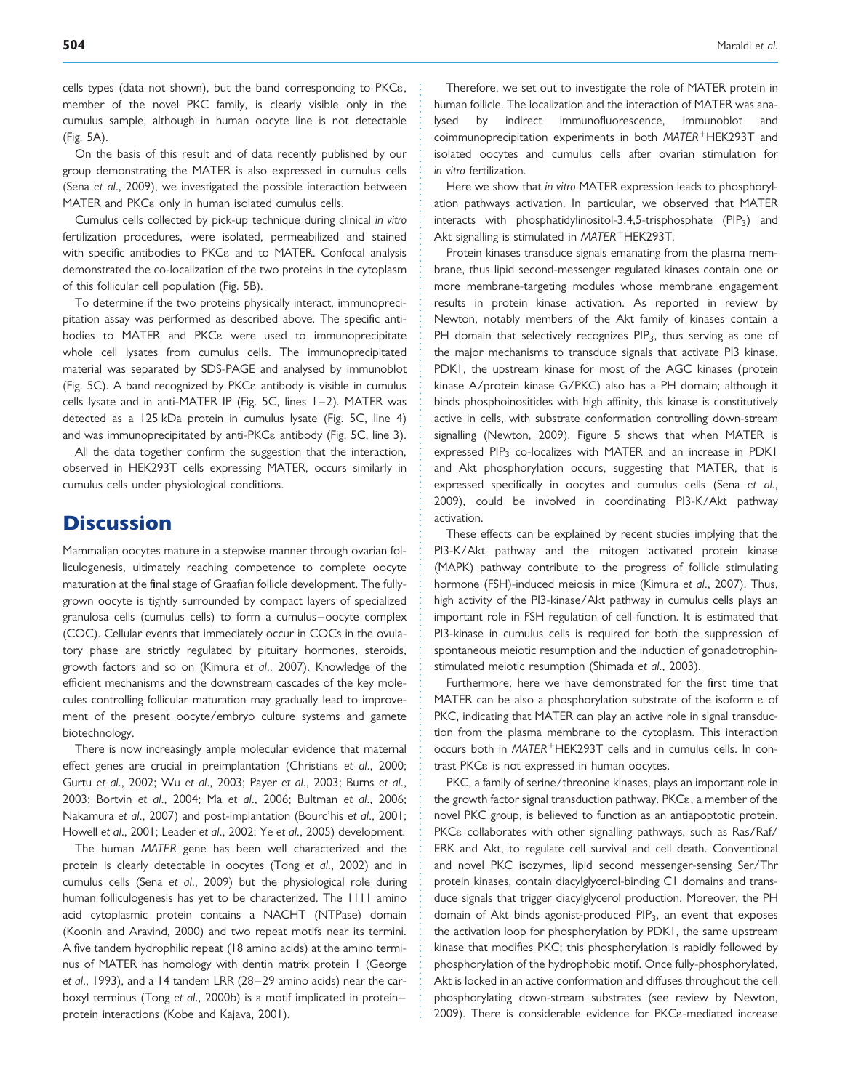cells types (data not shown), but the band corresponding to PKCE, member of the novel PKC family, is clearly visible only in the cumulus sample, although in human oocyte line is not detectable (Fig. 5A).

On the basis of this result and of data recently published by our group demonstrating the MATER is also expressed in cumulus cells (Sena et al., 2009), we investigated the possible interaction between MATER and PKC<sub>8</sub> only in human isolated cumulus cells.

Cumulus cells collected by pick-up technique during clinical in vitro fertilization procedures, were isolated, permeabilized and stained with specific antibodies to PKC<sub>8</sub> and to MATER. Confocal analysis demonstrated the co-localization of the two proteins in the cytoplasm of this follicular cell population (Fig. 5B).

To determine if the two proteins physically interact, immunoprecipitation assay was performed as described above. The specific antibodies to MATER and PKC<sub>8</sub> were used to immunoprecipitate whole cell lysates from cumulus cells. The immunoprecipitated material was separated by SDS-PAGE and analysed by immunoblot (Fig. 5C). A band recognized by PKC<sub>8</sub> antibody is visible in cumulus cells lysate and in anti-MATER IP (Fig. 5C, lines 1–2). MATER was detected as a 125 kDa protein in cumulus lysate (Fig. 5C, line 4) and was immunoprecipitated by anti-PKC<sub>8</sub> antibody (Fig. 5C, line 3).

All the data together confirm the suggestion that the interaction, observed in HEK293T cells expressing MATER, occurs similarly in cumulus cells under physiological conditions.

# **Discussion**

Mammalian oocytes mature in a stepwise manner through ovarian folliculogenesis, ultimately reaching competence to complete oocyte maturation at the final stage of Graafian follicle development. The fullygrown oocyte is tightly surrounded by compact layers of specialized granulosa cells (cumulus cells) to form a cumulus –oocyte complex (COC). Cellular events that immediately occur in COCs in the ovulatory phase are strictly regulated by pituitary hormones, steroids, growth factors and so on (Kimura et al., 2007). Knowledge of the efficient mechanisms and the downstream cascades of the key molecules controlling follicular maturation may gradually lead to improvement of the present oocyte/embryo culture systems and gamete biotechnology.

There is now increasingly ample molecular evidence that maternal effect genes are crucial in preimplantation (Christians et al., 2000; Gurtu et al., 2002; Wu et al., 2003; Payer et al., 2003; Burns et al., 2003; Bortvin et al., 2004; Ma et al., 2006; Bultman et al., 2006; Nakamura et al., 2007) and post-implantation (Bourc'his et al., 2001; Howell et al., 2001; Leader et al., 2002; Ye et al., 2005) development.

The human MATER gene has been well characterized and the protein is clearly detectable in oocytes (Tong et al., 2002) and in cumulus cells (Sena et al., 2009) but the physiological role during human folliculogenesis has yet to be characterized. The 1111 amino acid cytoplasmic protein contains a NACHT (NTPase) domain (Koonin and Aravind, 2000) and two repeat motifs near its termini. A five tandem hydrophilic repeat (18 amino acids) at the amino terminus of MATER has homology with dentin matrix protein 1 (George et al., 1993), and a 14 tandem LRR (28-29 amino acids) near the carboxyl terminus (Tong et al., 2000b) is a motif implicated in proteinprotein interactions (Kobe and Kajava, 2001).

Therefore, we set out to investigate the role of MATER protein in human follicle. The localization and the interaction of MATER was analysed by indirect immunofluorescence, immunoblot and coimmunoprecipitation experiments in both  $MATER^+HEK293T$  and isolated oocytes and cumulus cells after ovarian stimulation for in vitro fertilization.

Here we show that in vitro MATER expression leads to phosphorylation pathways activation. In particular, we observed that MATER interacts with phosphatidylinositol-3,4,5-trisphosphate  $(PIP_3)$  and Akt signalling is stimulated in  $MATER<sup>+</sup>HEK293T$ .

Protein kinases transduce signals emanating from the plasma membrane, thus lipid second-messenger regulated kinases contain one or more membrane-targeting modules whose membrane engagement results in protein kinase activation. As reported in review by Newton, notably members of the Akt family of kinases contain a PH domain that selectively recognizes PIP<sub>3</sub>, thus serving as one of the major mechanisms to transduce signals that activate PI3 kinase. PDK1, the upstream kinase for most of the AGC kinases (protein kinase A/protein kinase G/PKC) also has a PH domain; although it binds phosphoinositides with high affinity, this kinase is constitutively active in cells, with substrate conformation controlling down-stream signalling (Newton, 2009). Figure 5 shows that when MATER is expressed PIP<sub>3</sub> co-localizes with MATER and an increase in PDK1 and Akt phosphorylation occurs, suggesting that MATER, that is expressed specifically in oocytes and cumulus cells (Sena et al., 2009), could be involved in coordinating PI3-K/Akt pathway activation.

These effects can be explained by recent studies implying that the PI3-K/Akt pathway and the mitogen activated protein kinase (MAPK) pathway contribute to the progress of follicle stimulating hormone (FSH)-induced meiosis in mice (Kimura et al., 2007). Thus, high activity of the PI3-kinase/Akt pathway in cumulus cells plays an important role in FSH regulation of cell function. It is estimated that PI3-kinase in cumulus cells is required for both the suppression of spontaneous meiotic resumption and the induction of gonadotrophinstimulated meiotic resumption (Shimada et al., 2003).

Furthermore, here we have demonstrated for the first time that MATER can be also a phosphorylation substrate of the isoform  $\varepsilon$  of PKC, indicating that MATER can play an active role in signal transduction from the plasma membrane to the cytoplasm. This interaction occurs both in  $MATER^+HEK293T$  cells and in cumulus cells. In contrast PKC<sub>8</sub> is not expressed in human oocytes.

PKC, a family of serine/threonine kinases, plays an important role in the growth factor signal transduction pathway. PKC<sub>8</sub>, a member of the novel PKC group, is believed to function as an antiapoptotic protein. PKC<sub>8</sub> collaborates with other signalling pathways, such as Ras/Raf/ ERK and Akt, to regulate cell survival and cell death. Conventional and novel PKC isozymes, lipid second messenger-sensing Ser/Thr protein kinases, contain diacylglycerol-binding C1 domains and transduce signals that trigger diacylglycerol production. Moreover, the PH domain of Akt binds agonist-produced PIP<sub>3</sub>, an event that exposes the activation loop for phosphorylation by PDK1, the same upstream kinase that modifies PKC; this phosphorylation is rapidly followed by phosphorylation of the hydrophobic motif. Once fully-phosphorylated, Akt is locked in an active conformation and diffuses throughout the cell phosphorylating down-stream substrates (see review by Newton, 2009). There is considerable evidence for PKC<sub>8</sub>-mediated increase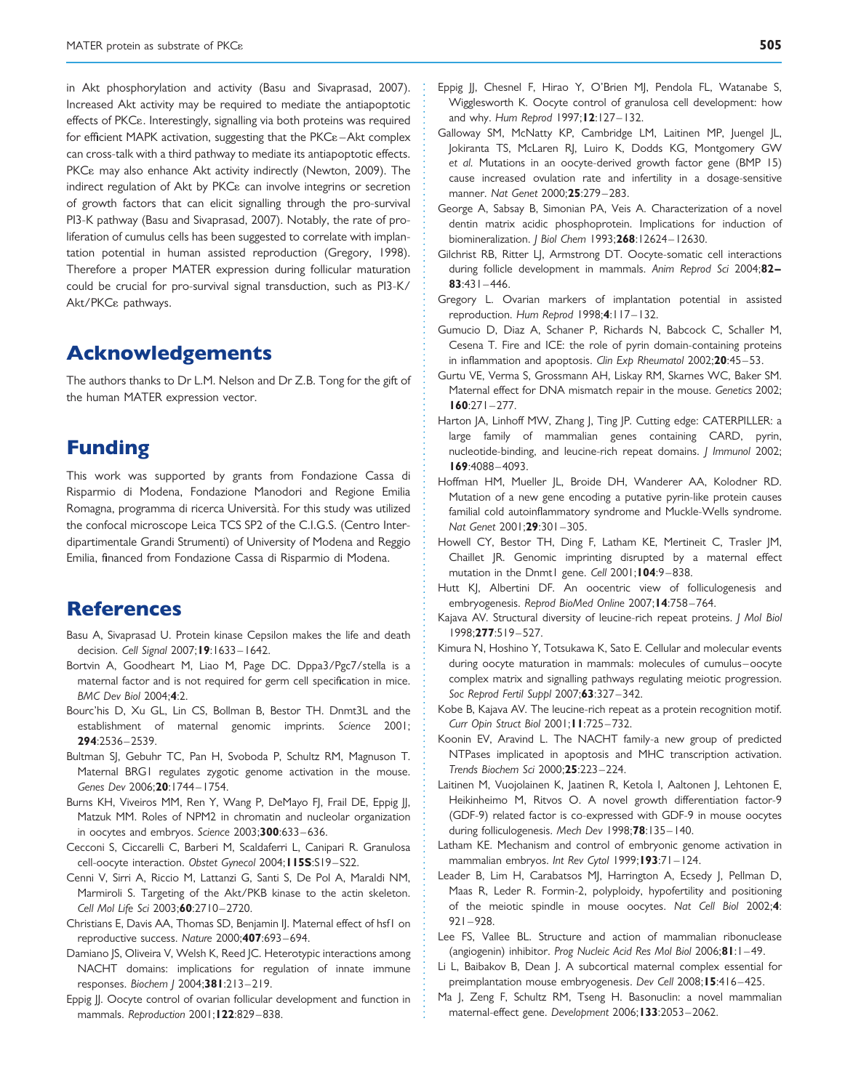in Akt phosphorylation and activity (Basu and Sivaprasad, 2007). Increased Akt activity may be required to mediate the antiapoptotic effects of PKC<sub>8</sub>. Interestingly, signalling via both proteins was required for efficient MAPK activation, suggesting that the  $PKC\epsilon$ –Akt complex can cross-talk with a third pathway to mediate its antiapoptotic effects. PKC<sub>8</sub> may also enhance Akt activity indirectly (Newton, 2009). The indirect regulation of Akt by PKC<sub>8</sub> can involve integrins or secretion of growth factors that can elicit signalling through the pro-survival PI3-K pathway (Basu and Sivaprasad, 2007). Notably, the rate of proliferation of cumulus cells has been suggested to correlate with implantation potential in human assisted reproduction (Gregory, 1998). Therefore a proper MATER expression during follicular maturation could be crucial for pro-survival signal transduction, such as PI3-K/ Akt/PKC<sub>ε</sub> pathways.

# Acknowledgements

The authors thanks to Dr L.M. Nelson and Dr Z.B. Tong for the gift of the human MATER expression vector.

# Funding

This work was supported by grants from Fondazione Cassa di Risparmio di Modena, Fondazione Manodori and Regione Emilia Romagna, programma di ricerca Università. For this study was utilized the confocal microscope Leica TCS SP2 of the C.I.G.S. (Centro Interdipartimentale Grandi Strumenti) of University of Modena and Reggio Emilia, financed from Fondazione Cassa di Risparmio di Modena.

# References

- Basu A, Sivaprasad U. Protein kinase Cepsilon makes the life and death decision. Cell Signal 2007;19:1633-1642.
- Bortvin A, Goodheart M, Liao M, Page DC. Dppa3/Pgc7/stella is a maternal factor and is not required for germ cell specification in mice.  $BMC$  Dev Biol 2004 $\cdot$ 4 $\cdot$ 2.
- Bourc'his D, Xu GL, Lin CS, Bollman B, Bestor TH. Dnmt3L and the establishment of maternal genomic imprints. Science 2001; 294:2536– 2539.
- Bultman SJ, Gebuhr TC, Pan H, Svoboda P, Schultz RM, Magnuson T. Maternal BRG1 regulates zygotic genome activation in the mouse. Genes Dev 2006;20:1744-1754.
- Burns KH, Viveiros MM, Ren Y, Wang P, DeMayo FJ, Frail DE, Eppig JJ, Matzuk MM. Roles of NPM2 in chromatin and nucleolar organization in oocytes and embryos. Science 2003;300:633 – 636.
- Cecconi S, Ciccarelli C, Barberi M, Scaldaferri L, Canipari R. Granulosa cell-oocyte interaction. Obstet Gynecol 2004; I I 5S:S19-S22.
- Cenni V, Sirri A, Riccio M, Lattanzi G, Santi S, De Pol A, Maraldi NM, Marmiroli S. Targeting of the Akt/PKB kinase to the actin skeleton. Cell Mol Life Sci 2003;60:2710– 2720.
- Christians E, Davis AA, Thomas SD, Benjamin IJ. Maternal effect of hsf1 on reproductive success. Nature 2000;407:693 – 694.
- Damiano JS, Oliveira V, Welsh K, Reed JC. Heterotypic interactions among NACHT domains: implications for regulation of innate immune responses. Biochem J 2004;381:213 – 219.
- Eppig JJ. Oocyte control of ovarian follicular development and function in mammals. Reproduction 2001;122:829-838.
- Eppig JJ, Chesnel F, Hirao Y, O'Brien MJ, Pendola FL, Watanabe S, Wigglesworth K. Oocyte control of granulosa cell development: how and why. Hum Reprod 1997; 12:127-132.
- Galloway SM, McNatty KP, Cambridge LM, Laitinen MP, Juengel JL, Jokiranta TS, McLaren RJ, Luiro K, Dodds KG, Montgomery GW et al. Mutations in an oocyte-derived growth factor gene (BMP 15) cause increased ovulation rate and infertility in a dosage-sensitive manner. Nat Genet 2000;25:279 – 283.
- George A, Sabsay B, Simonian PA, Veis A. Characterization of a novel dentin matrix acidic phosphoprotein. Implications for induction of biomineralization. | Biol Chem 1993;268:12624-12630.
- Gilchrist RB, Ritter LJ, Armstrong DT. Oocyte-somatic cell interactions during follicle development in mammals. Anim Reprod Sci 2004:82- $83:431 - 446.$
- Gregory L. Ovarian markers of implantation potential in assisted reproduction. Hum Reprod 1998;4:117-132.
- Gumucio D, Diaz A, Schaner P, Richards N, Babcock C, Schaller M, Cesena T. Fire and ICE: the role of pyrin domain-containing proteins in inflammation and apoptosis. Clin Exp Rheumatol 2002;20:45-53.
- Gurtu VE, Verma S, Grossmann AH, Liskay RM, Skarnes WC, Baker SM. Maternal effect for DNA mismatch repair in the mouse. Genetics 2002;  $160:271 - 277.$
- Harton JA, Linhoff MW, Zhang J, Ting JP. Cutting edge: CATERPILLER: a large family of mammalian genes containing CARD, pyrin, nucleotide-binding, and leucine-rich repeat domains. J Immunol 2002; 169:4088– 4093.
- Hoffman HM, Mueller JL, Broide DH, Wanderer AA, Kolodner RD. Mutation of a new gene encoding a putative pyrin-like protein causes familial cold autoinflammatory syndrome and Muckle-Wells syndrome. Nat Genet 2001;29:301-305.
- Howell CY, Bestor TH, Ding F, Latham KE, Mertineit C, Trasler JM, Chaillet JR. Genomic imprinting disrupted by a maternal effect mutation in the Dnmt1 gene. Cell 2001;104:9-838.
- Hutt KJ, Albertini DF. An oocentric view of folliculogenesis and embryogenesis. Reprod BioMed Online 2007; 14:758-764.
- Kajava AV. Structural diversity of leucine-rich repeat proteins. J Mol Biol 1998;277:519 – 527.
- Kimura N, Hoshino Y, Totsukawa K, Sato E. Cellular and molecular events during oocyte maturation in mammals: molecules of cumulus –oocyte complex matrix and signalling pathways regulating meiotic progression. Soc Reprod Fertil Suppl 2007;63:327– 342.
- Kobe B, Kajava AV. The leucine-rich repeat as a protein recognition motif. Curr Opin Struct Biol 2001;11:725 – 732.
- Koonin EV, Aravind L. The NACHT family-a new group of predicted NTPases implicated in apoptosis and MHC transcription activation. Trends Biochem Sci 2000;25:223 – 224.
- Laitinen M, Vuojolainen K, Jaatinen R, Ketola I, Aaltonen J, Lehtonen E, Heikinheimo M, Ritvos O. A novel growth differentiation factor-9 (GDF-9) related factor is co-expressed with GDF-9 in mouse oocytes during folliculogenesis. Mech Dev 1998;78:135-140.
- Latham KE. Mechanism and control of embryonic genome activation in mammalian embryos. Int Rev Cytol 1999;193:71-124.
- Leader B, Lim H, Carabatsos MJ, Harrington A, Ecsedy J, Pellman D, Maas R, Leder R. Formin-2, polyploidy, hypofertility and positioning of the meiotic spindle in mouse oocytes. Nat Cell Biol 2002;4:  $921 - 928$
- Lee FS, Vallee BL. Structure and action of mammalian ribonuclease (angiogenin) inhibitor. Prog Nucleic Acid Res Mol Biol 2006;81:1 – 49.
- Li L, Baibakov B, Dean J. A subcortical maternal complex essential for preimplantation mouse embryogenesis. Dev Cell 2008; **15**:416-425.
- Ma J, Zeng F, Schultz RM, Tseng H. Basonuclin: a novel mammalian maternal-effect gene. Development 2006;133:2053 – 2062.